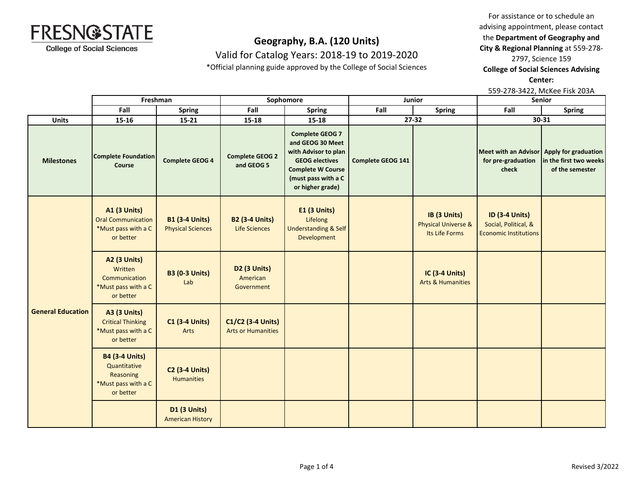

Valid for Catalog Years: 2018-19 to 2019-2020

\*Official planning guide approved by the College of Social Sciences

For assistance or to schedule an advising appointment, please contact the **Department of Geography and City & Regional Planning** at 559-278-

2797, Science 159

**College of Social Sciences Advising** 

**Center:** 

559-278-3422, McKee Fisk 203A

|                          |                                                                                        | Freshman                                          | Sophomore                                      |                                                                                                                                                                    | Junior                   |                                                                  | Senior                                                                        |                                           |
|--------------------------|----------------------------------------------------------------------------------------|---------------------------------------------------|------------------------------------------------|--------------------------------------------------------------------------------------------------------------------------------------------------------------------|--------------------------|------------------------------------------------------------------|-------------------------------------------------------------------------------|-------------------------------------------|
|                          | Fall                                                                                   | <b>Spring</b>                                     | Fall                                           | <b>Spring</b>                                                                                                                                                      | Fall                     | <b>Spring</b>                                                    | Fall                                                                          | <b>Spring</b>                             |
| <b>Units</b>             | $15 - 16$                                                                              | $15 - 21$                                         | $15 - 18$                                      | $15 - 18$                                                                                                                                                          |                          | 27-32                                                            |                                                                               | 30-31                                     |
| <b>Milestones</b>        | <b>Complete Foundation</b><br>Course                                                   | <b>Complete GEOG 4</b>                            | <b>Complete GEOG 2</b><br>and GEOG 5           | <b>Complete GEOG 7</b><br>and GEOG 30 Meet<br>with Advisor to plan<br><b>GEOG electives</b><br><b>Complete W Course</b><br>(must pass with a C<br>or higher grade) | <b>Complete GEOG 141</b> |                                                                  | Meet with an Advisor Apply for graduation<br>for pre-graduation<br>check      | in the first two weeks<br>of the semester |
|                          | <b>A1 (3 Units)</b><br><b>Oral Communication</b><br>*Must pass with a C<br>or better   | <b>B1 (3-4 Units)</b><br><b>Physical Sciences</b> | <b>B2 (3-4 Units)</b><br><b>Life Sciences</b>  | <b>E1 (3 Units)</b><br>Lifelong<br><b>Understanding &amp; Self</b><br>Development                                                                                  |                          | IB (3 Units)<br><b>Physical Universe &amp;</b><br>Its Life Forms | <b>ID (3-4 Units)</b><br>Social, Political, &<br><b>Economic Institutions</b> |                                           |
| <b>General Education</b> | <b>A2 (3 Units)</b><br>Written<br>Communication<br>*Must pass with a C<br>or better    | <b>B3 (0-3 Units)</b><br>Lab                      | <b>D2 (3 Units)</b><br>American<br>Government  |                                                                                                                                                                    |                          | <b>IC (3-4 Units)</b><br><b>Arts &amp; Humanities</b>            |                                                                               |                                           |
|                          | <b>A3 (3 Units)</b><br><b>Critical Thinking</b><br>*Must pass with a C<br>or better    | <b>C1 (3-4 Units)</b><br>Arts                     | C1/C2 (3-4 Units)<br><b>Arts or Humanities</b> |                                                                                                                                                                    |                          |                                                                  |                                                                               |                                           |
|                          | <b>B4 (3-4 Units)</b><br>Quantitative<br>Reasoning<br>*Must pass with a C<br>or better | <b>C2 (3-4 Units)</b><br><b>Humanities</b>        |                                                |                                                                                                                                                                    |                          |                                                                  |                                                                               |                                           |
|                          |                                                                                        | <b>D1 (3 Units)</b><br><b>American History</b>    |                                                |                                                                                                                                                                    |                          |                                                                  |                                                                               |                                           |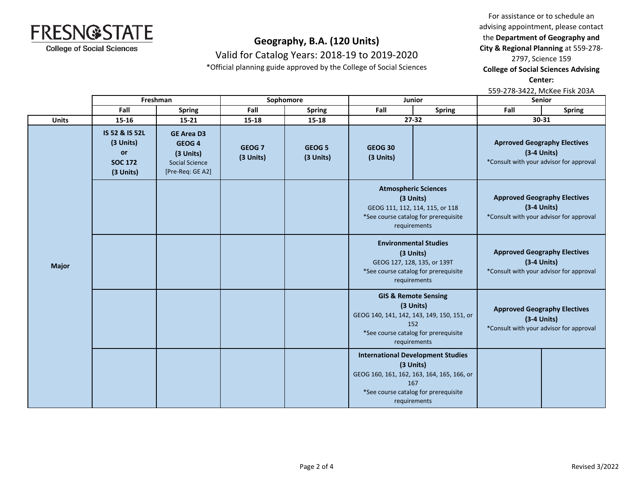

Valid for Catalog Years: 2018-19 to 2019-2020

\*Official planning guide approved by the College of Social Sciences

For assistance or to schedule an advising appointment, please contact the **Department of Geography and City & Regional Planning** at 559-278-

2797, Science 159

**College of Social Sciences Advising** 

**Center:** 

559-278-3422, McKee Fisk 203A

|              | Freshman<br>Sophomore<br>Junior                                                                                                                           |                                                                                                  |                                | <b>Senior</b>                  |                                                                                                                                     |                                                                                                                                                                    |                                                                                                 |                                                                                                 |  |
|--------------|-----------------------------------------------------------------------------------------------------------------------------------------------------------|--------------------------------------------------------------------------------------------------|--------------------------------|--------------------------------|-------------------------------------------------------------------------------------------------------------------------------------|--------------------------------------------------------------------------------------------------------------------------------------------------------------------|-------------------------------------------------------------------------------------------------|-------------------------------------------------------------------------------------------------|--|
|              | Fall                                                                                                                                                      | <b>Spring</b>                                                                                    | Fall                           | <b>Spring</b>                  | Fall                                                                                                                                | <b>Spring</b>                                                                                                                                                      | Fall                                                                                            | <b>Spring</b>                                                                                   |  |
| <b>Units</b> | 15-16                                                                                                                                                     | $15 - 21$                                                                                        | 15-18                          | $15 - 18$                      |                                                                                                                                     | 27-32                                                                                                                                                              |                                                                                                 | 30-31                                                                                           |  |
|              | IS 52 & IS 52L<br>(3 Units)<br>or<br><b>SOC 172</b><br>(3 Units)                                                                                          | <b>GE Area D3</b><br>GEOG <sub>4</sub><br>(3 Units)<br><b>Social Science</b><br>[Pre-Req: GE A2] | GEOG <sub>7</sub><br>(3 Units) | GEOG <sub>5</sub><br>(3 Units) | <b>GEOG 30</b><br>(3 Units)                                                                                                         |                                                                                                                                                                    | <b>Aprroved Geography Electives</b><br>$(3-4$ Units)<br>*Consult with your advisor for approval |                                                                                                 |  |
|              |                                                                                                                                                           |                                                                                                  |                                |                                | <b>Atmospheric Sciences</b><br>(3 Units)<br>GEOG 111, 112, 114, 115, or 118<br>*See course catalog for prerequisite<br>requirements |                                                                                                                                                                    | <b>Approved Geography Electives</b><br>$(3-4$ Units)<br>*Consult with your advisor for approval |                                                                                                 |  |
| <b>Major</b> |                                                                                                                                                           |                                                                                                  |                                |                                |                                                                                                                                     | <b>Environmental Studies</b><br>(3 Units)<br>GEOG 127, 128, 135, or 139T<br>*See course catalog for prerequisite<br>requirements                                   |                                                                                                 | <b>Approved Geography Electives</b><br>$(3-4$ Units)<br>*Consult with your advisor for approval |  |
|              | <b>GIS &amp; Remote Sensing</b><br>(3 Units)<br>GEOG 140, 141, 142, 143, 149, 150, 151, or<br>152<br>*See course catalog for prerequisite<br>requirements |                                                                                                  |                                |                                | <b>Approved Geography Electives</b><br>$(3-4$ Units)<br>*Consult with your advisor for approval                                     |                                                                                                                                                                    |                                                                                                 |                                                                                                 |  |
|              |                                                                                                                                                           |                                                                                                  |                                |                                |                                                                                                                                     | <b>International Development Studies</b><br>(3 Units)<br>GEOG 160, 161, 162, 163, 164, 165, 166, or<br>167<br>*See course catalog for prerequisite<br>requirements |                                                                                                 |                                                                                                 |  |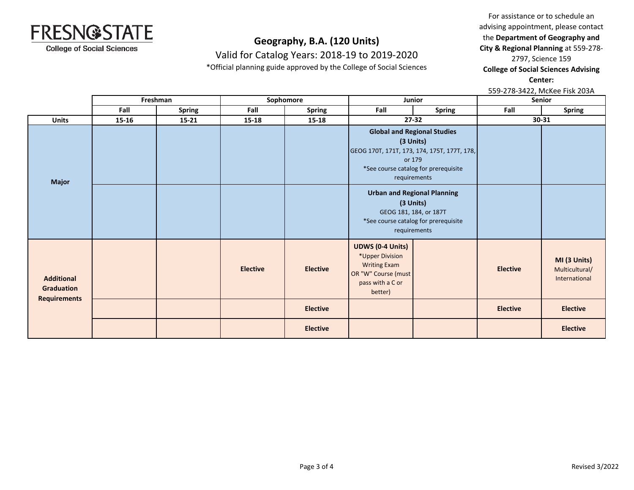

Valid for Catalog Years: 2018-19 to 2019-2020

\*Official planning guide approved by the College of Social Sciences

For assistance or to schedule an advising appointment, please contact the **Department of Geography and City & Regional Planning** at 559-278- 2797, Science 159

**College of Social Sciences Advising** 

**Center:** 

559-278-3422, McKee Fisk 203A

|                                        |           | Freshman      |                 | Sophomore       | Junior                                                                                                                  |                                                                                                                                                                  | Senior          |                                                 |
|----------------------------------------|-----------|---------------|-----------------|-----------------|-------------------------------------------------------------------------------------------------------------------------|------------------------------------------------------------------------------------------------------------------------------------------------------------------|-----------------|-------------------------------------------------|
|                                        | Fall      | <b>Spring</b> | Fall            | <b>Spring</b>   | Fall                                                                                                                    | <b>Spring</b>                                                                                                                                                    | Fall            | Spring                                          |
| <b>Units</b>                           | $15 - 16$ | $15 - 21$     | 15-18           | $15 - 18$       |                                                                                                                         | 27-32                                                                                                                                                            | $30 - 31$       |                                                 |
| <b>Major</b>                           |           |               |                 |                 |                                                                                                                         | <b>Global and Regional Studies</b><br>(3 Units)<br>GEOG 170T, 171T, 173, 174, 175T, 177T, 178,<br>or 179<br>*See course catalog for prerequisite<br>requirements |                 |                                                 |
|                                        |           |               |                 |                 |                                                                                                                         | <b>Urban and Regional Planning</b><br>(3 Units)<br>GEOG 181, 184, or 187T<br>*See course catalog for prerequisite<br>requirements                                |                 |                                                 |
| <b>Additional</b><br><b>Graduation</b> |           |               | <b>Elective</b> | <b>Elective</b> | <b>UDWS (0-4 Units)</b><br>*Upper Division<br><b>Writing Exam</b><br>OR "W" Course (must<br>pass with a C or<br>better) |                                                                                                                                                                  | <b>Elective</b> | MI (3 Units)<br>Multicultural/<br>International |
| <b>Requirements</b>                    |           |               |                 | <b>Elective</b> |                                                                                                                         |                                                                                                                                                                  | <b>Elective</b> | <b>Elective</b>                                 |
|                                        |           |               |                 | <b>Elective</b> |                                                                                                                         |                                                                                                                                                                  |                 | <b>Elective</b>                                 |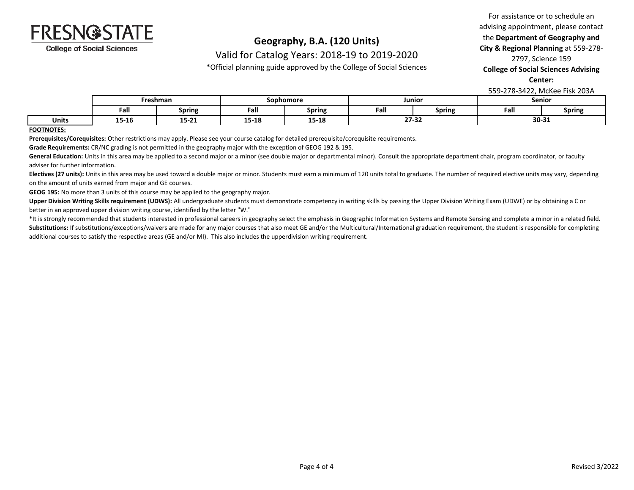

Valid for Catalog Years: 2018-19 to 2019-2020

\*Official planning guide approved by the College of Social Sciences

### For assistance or to schedule an advising appointment, please contact the **Department of Geography and City & Regional Planning** at 559-278- 2797, Science 159 **College of Social Sciences Advising**

**Center:** 

559-278-3422, McKee Fisk 203A

|              | -reshman         |                  | Sophomore |                         | Junior |               | Senior |               |
|--------------|------------------|------------------|-----------|-------------------------|--------|---------------|--------|---------------|
|              | Fall             | <b>Spring</b>    | Fall      | Spring                  | Fall   | - -<br>Spring | Fall   | <b>Spring</b> |
| <b>Units</b> | $1 - 1$<br>15-10 | 1 P. 94<br>15-ZI | 15-18     | 4 F. 4 O<br>15<br>.- TC | 27-32  |               | 30-31  |               |

**FOOTNOTES:**

**Prerequisites/Corequisites:** Other restrictions may apply. Please see your course catalog for detailed prerequisite/corequisite requirements.

**Grade Requirements:** CR/NC grading is not permitted in the geography major with the exception of GEOG 192 & 195.

General Education: Units in this area may be applied to a second major or a minor (see double major or departmental minor). Consult the appropriate department chair, program coordinator, or faculty adviser for further information.

Electives (27 units): Units in this area may be used toward a double major or minor. Students must earn a minimum of 120 units total to graduate. The number of required elective units may vary, depending on the amount of units earned from major and GE courses.

**GEOG 195:** No more than 3 units of this course may be applied to the geography major.

Upper Division Writing Skills requirement (UDWS): All undergraduate students must demonstrate competency in writing skills by passing the Upper Division Writing Exam (UDWE) or by obtaining a C or better in an approved upper division writing course, identified by the letter "W."

\*It is strongly recommended that students interested in professional careers in geography select the emphasis in Geographic Information Systems and Remote Sensing and complete a minor in a related field. Substitutions: If substitutions/exceptions/waivers are made for any major courses that also meet GE and/or the Multicultural/International graduation requirement, the student is responsible for completing additional courses to satisfy the respective areas (GE and/or MI). This also includes the upperdivision writing requirement.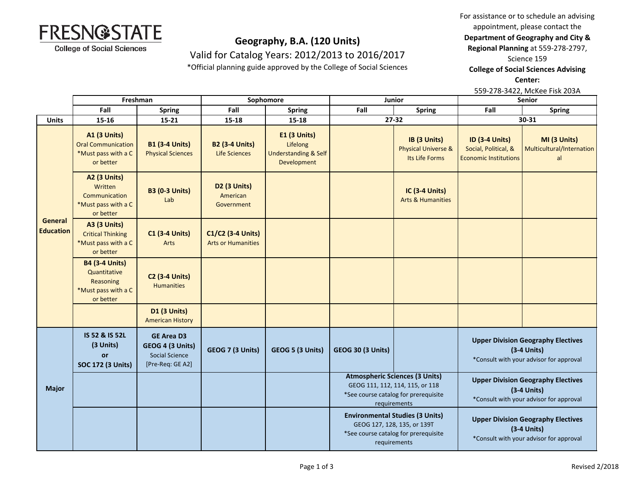For assistance or to schedule an advising



**Department of Geography and City &** 

**Regional Planning** at 559-278-2797,

Science 159

**College of Social Sciences Advising** 

**Center:** 

559-278-3422, McKee Fisk 203A

|                             | Freshman                                                                               |                                                                                    |                                                    | Sophomore                                                                  | Junior                                                                                                                           |                                                                  | <b>Senior</b>                                                                                         |                                                 |  |
|-----------------------------|----------------------------------------------------------------------------------------|------------------------------------------------------------------------------------|----------------------------------------------------|----------------------------------------------------------------------------|----------------------------------------------------------------------------------------------------------------------------------|------------------------------------------------------------------|-------------------------------------------------------------------------------------------------------|-------------------------------------------------|--|
|                             | Fall                                                                                   | <b>Spring</b>                                                                      | Fall                                               | <b>Spring</b>                                                              | Fall                                                                                                                             | <b>Spring</b>                                                    | Fall                                                                                                  | <b>Spring</b>                                   |  |
| <b>Units</b>                | 15-16                                                                                  | 15-21                                                                              | 15-18                                              | 15-18                                                                      |                                                                                                                                  | $27 - 32$                                                        |                                                                                                       | 30-31                                           |  |
| General<br><b>Education</b> | <b>A1 (3 Units)</b><br><b>Oral Communication</b><br>*Must pass with a C<br>or better   | <b>B1 (3-4 Units)</b><br><b>Physical Sciences</b>                                  | <b>B2 (3-4 Units)</b><br>Life Sciences             | E1 (3 Units)<br>Lifelong<br><b>Understanding &amp; Self</b><br>Development |                                                                                                                                  | IB (3 Units)<br><b>Physical Universe &amp;</b><br>Its Life Forms | <b>ID (3-4 Units)</b><br>Social, Political, &<br><b>Economic Institutions</b>                         | MI (3 Units)<br>Multicultural/Internation<br>al |  |
|                             | <b>A2 (3 Units)</b><br>Written<br>Communication<br>*Must pass with a C<br>or better    | <b>B3 (0-3 Units)</b><br>Lab                                                       | D <sub>2</sub> (3 Units)<br>American<br>Government |                                                                            |                                                                                                                                  | <b>IC (3-4 Units)</b><br><b>Arts &amp; Humanities</b>            |                                                                                                       |                                                 |  |
|                             | <b>A3 (3 Units)</b><br><b>Critical Thinking</b><br>*Must pass with a C<br>or better    | <b>C1 (3-4 Units)</b><br><b>Arts</b>                                               | C1/C2 (3-4 Units)<br><b>Arts or Humanities</b>     |                                                                            |                                                                                                                                  |                                                                  |                                                                                                       |                                                 |  |
|                             | <b>B4 (3-4 Units)</b><br>Quantitative<br>Reasoning<br>*Must pass with a C<br>or better | <b>C2 (3-4 Units)</b><br><b>Humanities</b>                                         |                                                    |                                                                            |                                                                                                                                  |                                                                  |                                                                                                       |                                                 |  |
|                             |                                                                                        | D1 (3 Units)<br><b>American History</b>                                            |                                                    |                                                                            |                                                                                                                                  |                                                                  |                                                                                                       |                                                 |  |
| <b>Major</b>                | IS 52 & IS 52L<br>(3 Units)<br>or<br><b>SOC 172 (3 Units)</b>                          | <b>GE Area D3</b><br>GEOG 4 (3 Units)<br><b>Social Science</b><br>[Pre-Req: GE A2] | GEOG 7 (3 Units)                                   | GEOG 5 (3 Units)                                                           | <b>GEOG 30 (3 Units)</b>                                                                                                         |                                                                  | <b>Upper Division Geography Electives</b><br>$(3-4$ Units)<br>*Consult with your advisor for approval |                                                 |  |
|                             |                                                                                        |                                                                                    |                                                    |                                                                            | <b>Atmospheric Sciences (3 Units)</b><br>GEOG 111, 112, 114, 115, or 118<br>*See course catalog for prerequisite<br>requirements |                                                                  | <b>Upper Division Geography Electives</b><br>$(3-4$ Units)<br>*Consult with your advisor for approval |                                                 |  |
|                             |                                                                                        |                                                                                    |                                                    |                                                                            | <b>Environmental Studies (3 Units)</b><br>GEOG 127, 128, 135, or 139T<br>*See course catalog for prerequisite<br>requirements    |                                                                  | <b>Upper Division Geography Electives</b><br>$(3-4$ Units)<br>*Consult with your advisor for approval |                                                 |  |

**Geography, B.A. (120 Units)** Valid for Catalog Years: 2012/2013 to 2016/2017 \*Official planning guide approved by the College of Social Sciences

**FRESN@STATE** 

**College of Social Sciences**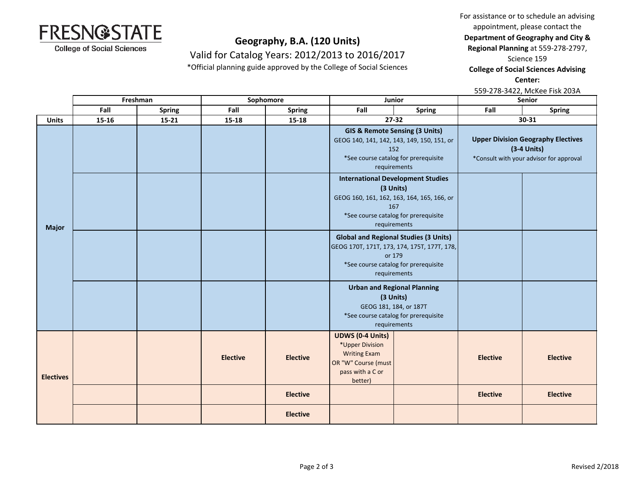For assistance or to schedule an advising

appointment, please contact the

**Department of Geography and City &** 

**Regional Planning** at 559-278-2797,

Science 159

**College of Social Sciences Advising** 

**Center:** 

|                  |       |                                 |                 |                 |                                                                                                                                                                    |                                                                                                                                   |                                                                                                       | 559-278-3422, McKee Fisk 203A |
|------------------|-------|---------------------------------|-----------------|-----------------|--------------------------------------------------------------------------------------------------------------------------------------------------------------------|-----------------------------------------------------------------------------------------------------------------------------------|-------------------------------------------------------------------------------------------------------|-------------------------------|
|                  |       | Freshman<br>Junior<br>Sophomore |                 |                 |                                                                                                                                                                    | <b>Senior</b>                                                                                                                     |                                                                                                       |                               |
|                  | Fall  | <b>Spring</b>                   | Fall            | <b>Spring</b>   | Fall<br><b>Spring</b>                                                                                                                                              |                                                                                                                                   | Fall                                                                                                  | <b>Spring</b>                 |
| <b>Units</b>     | 15-16 | $15 - 21$                       | 15-18           | $15 - 18$       |                                                                                                                                                                    | $27 - 32$                                                                                                                         |                                                                                                       | 30-31                         |
| <b>Major</b>     |       |                                 |                 |                 | GIS & Remote Sensing (3 Units)<br>GEOG 140, 141, 142, 143, 149, 150, 151, or<br>152<br>*See course catalog for prerequisite<br>requirements                        |                                                                                                                                   | <b>Upper Division Geography Electives</b><br>$(3-4$ Units)<br>*Consult with your advisor for approval |                               |
|                  |       |                                 |                 |                 | <b>International Development Studies</b><br>(3 Units)<br>GEOG 160, 161, 162, 163, 164, 165, 166, or<br>167<br>*See course catalog for prerequisite<br>requirements |                                                                                                                                   |                                                                                                       |                               |
|                  |       |                                 |                 |                 | <b>Global and Regional Studies (3 Units)</b><br>GEOG 170T, 171T, 173, 174, 175T, 177T, 178,<br>or 179<br>*See course catalog for prerequisite<br>requirements      |                                                                                                                                   |                                                                                                       |                               |
|                  |       |                                 |                 |                 |                                                                                                                                                                    | <b>Urban and Regional Planning</b><br>(3 Units)<br>GEOG 181, 184, or 187T<br>*See course catalog for prerequisite<br>requirements |                                                                                                       |                               |
| <b>Electives</b> |       |                                 | <b>Elective</b> | <b>Elective</b> | <b>UDWS (0-4 Units)</b><br>*Upper Division<br><b>Writing Exam</b><br>OR "W" Course (must<br>pass with a C or<br>better)                                            |                                                                                                                                   | <b>Elective</b>                                                                                       | <b>Elective</b>               |
|                  |       |                                 |                 | <b>Elective</b> |                                                                                                                                                                    |                                                                                                                                   | <b>Elective</b>                                                                                       | <b>Elective</b>               |
|                  |       |                                 |                 | <b>Elective</b> |                                                                                                                                                                    |                                                                                                                                   |                                                                                                       |                               |





# **Geography, B.A. (120 Units)**

Valid for Catalog Years: 2012/2013 to 2016/2017

\*Official planning guide approved by the College of Social Sciences